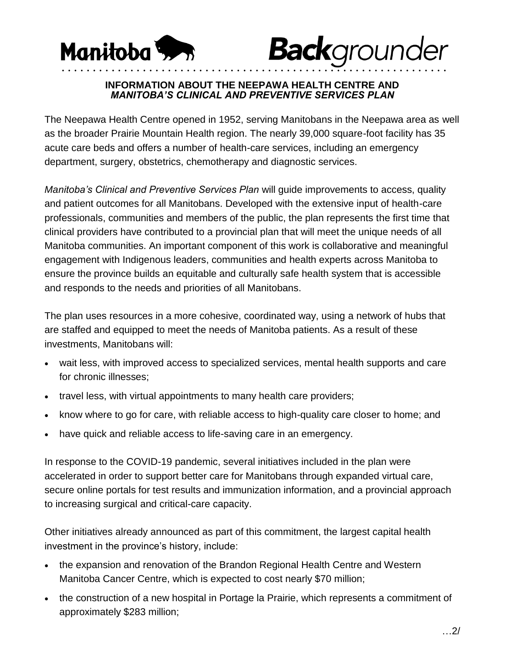



## **INFORMATION ABOUT THE NEEPAWA HEALTH CENTRE AND**  *MANITOBA'S CLINICAL AND PREVENTIVE SERVICES PLAN*

• • • • • • • • • • • • • • • • • • • • • • • • • • • • • • • • • • • • • • • • • • • • • • • • • • • • • • • • • • • • • •

The Neepawa Health Centre opened in 1952, serving Manitobans in the Neepawa area as well as the broader Prairie Mountain Health region. The nearly 39,000 square-foot facility has 35 acute care beds and offers a number of health-care services, including an emergency department, surgery, obstetrics, chemotherapy and diagnostic services.

*Manitoba's Clinical and Preventive Services Plan* will guide improvements to access, quality and patient outcomes for all Manitobans. Developed with the extensive input of health-care professionals, communities and members of the public, the plan represents the first time that clinical providers have contributed to a provincial plan that will meet the unique needs of all Manitoba communities. An important component of this work is collaborative and meaningful engagement with Indigenous leaders, communities and health experts across Manitoba to ensure the province builds an equitable and culturally safe health system that is accessible and responds to the needs and priorities of all Manitobans.

The plan uses resources in a more cohesive, coordinated way, using a network of hubs that are staffed and equipped to meet the needs of Manitoba patients. As a result of these investments, Manitobans will:

- wait less, with improved access to specialized services, mental health supports and care for chronic illnesses;
- travel less, with virtual appointments to many health care providers;
- know where to go for care, with reliable access to high-quality care closer to home; and
- have quick and reliable access to life-saving care in an emergency.

In response to the COVID-19 pandemic, several initiatives included in the plan were accelerated in order to support better care for Manitobans through expanded virtual care, secure online portals for test results and immunization information, and a provincial approach to increasing surgical and critical-care capacity.

Other initiatives already announced as part of this commitment, the largest capital health investment in the province's history, include:

- the expansion and renovation of the Brandon Regional Health Centre and Western Manitoba Cancer Centre, which is expected to cost nearly \$70 million;
- the construction of a new hospital in Portage la Prairie, which represents a commitment of approximately \$283 million;